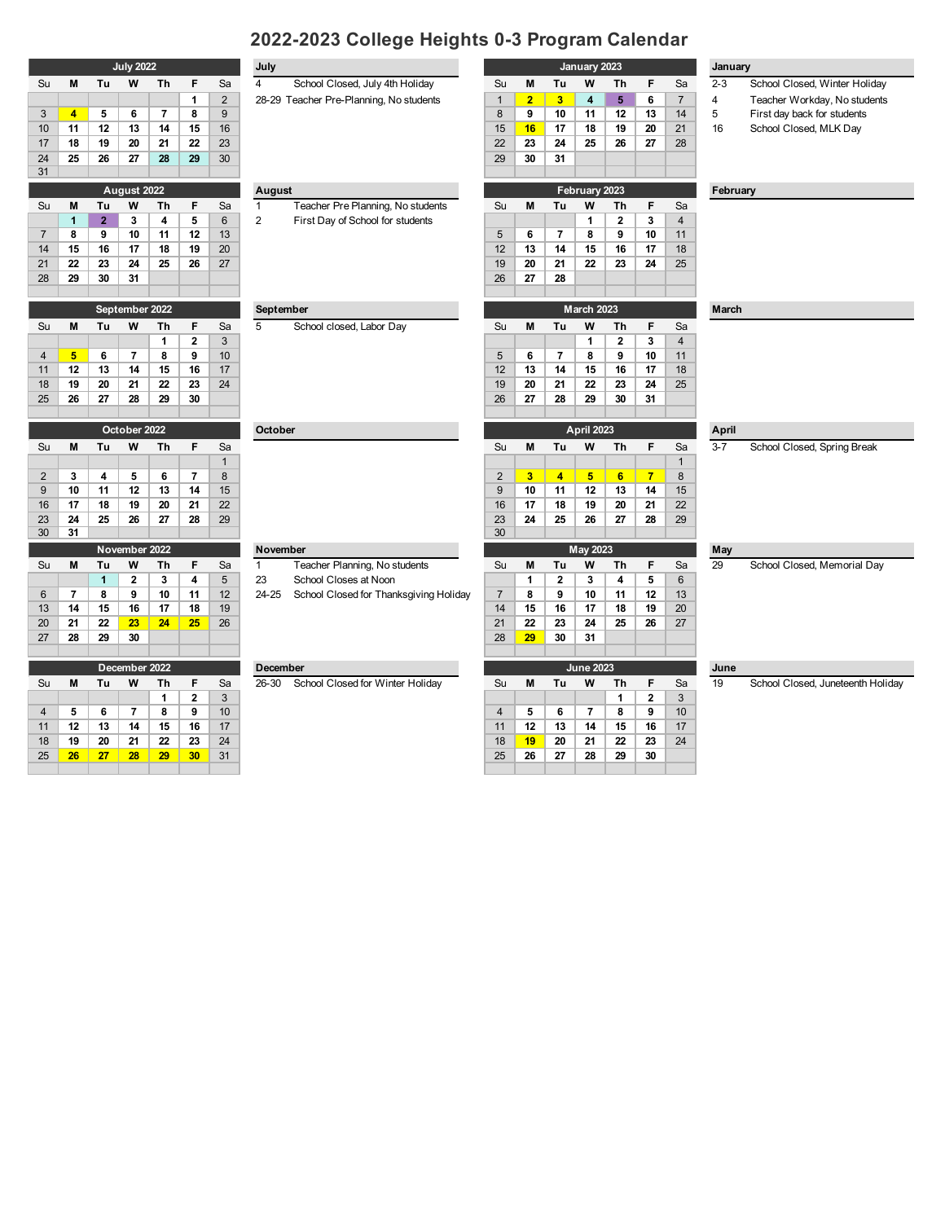# **2022-2023 College Heights 0-3 Program Calendar**

| Su             | M  | Τu             | W              | Τh | F              | Sa             | 4             | School Closed, July 4th Holiday         | Su | М              | Tu | W             | Τh           | F  | Sa             |
|----------------|----|----------------|----------------|----|----------------|----------------|---------------|-----------------------------------------|----|----------------|----|---------------|--------------|----|----------------|
|                |    |                |                |    | 1              | $\overline{2}$ |               | 28-29 Teacher Pre-Planning, No students |    | $\overline{2}$ | 3  | 4             | 5            | 6  | $\overline{7}$ |
| 3              | 4  | 5              | 6              | 7  | 8              | 9              |               |                                         | 8  | 9              | 10 | 11            | 12           | 13 | 14             |
| 10             | 11 | 12             | 13             | 14 | 15             | 16             |               |                                         | 15 | 16             | 17 | 18            | 19           | 20 | 21             |
| 17             | 18 | 19             | 20             | 21 | 22             | 23             |               |                                         | 22 | 23             | 24 | 25            | 26           | 27 | 28             |
| 24             | 25 | 26             | 27             | 28 | 29             | 30             |               |                                         | 29 | 30             | 31 |               |              |    |                |
| 31             |    |                |                |    |                |                |               |                                         |    |                |    |               |              |    |                |
|                |    |                | August 2022    |    |                |                | <b>August</b> |                                         |    |                |    | February 2023 |              |    |                |
| Su             | M  | Tu             | W              | Τh | F              | Sa             |               | Teacher Pre Planning, No students       | Su | М              | Tu | w             | Τh           | F  | Sa             |
|                | 1  | $\overline{2}$ | 3              | 4  | 5              | 6              | 2             | First Day of School for students        |    |                |    | 1             | $\mathbf{2}$ | 3  | $\overline{4}$ |
| $\overline{7}$ | 8  | 9              | 10             | 11 | 12             | 13             |               |                                         | 5  | 6              | 7  | 8             | 9            | 10 | 11             |
| 14             | 15 | 16             | 17             | 18 | 19             | 20             |               |                                         | 12 | 13             | 14 | 15            | 16           | 17 | 18             |
| 21             | 22 | 23             | 24             | 25 | 26             | 27             |               |                                         | 19 | 20             | 21 | 22            | 23           | 24 | 25             |
| 28             | 29 | 30             | 31             |    |                |                |               |                                         | 26 | 27             | 28 |               |              |    |                |
|                |    |                |                |    |                |                |               |                                         |    |                |    |               |              |    |                |
|                |    |                | September 2022 |    |                |                |               | September                               |    |                |    | March 2023    |              |    |                |
| Su             | M  | Τu             | W              | Th | F              | Sa             | 5             | School closed, Labor Day                | Su | М              | Τu | w             | Τh           | F  | Sa             |
|                |    |                |                | 1  | $\overline{2}$ | 3              |               |                                         |    |                |    |               | 2            | 3  | $\overline{4}$ |
|                |    |                |                |    |                |                |               |                                         |    |                |    |               |              |    |                |

| $\overline{4}$ | $5-1$ | 6                             | 17 I | - 8 | - 9 | $\vert$ 10 |
|----------------|-------|-------------------------------|------|-----|-----|------------|
| 11             |       | $12$   13   14   15   16   17 |      |     |     |            |
| 18             |       | 19   20   21   22   23        |      |     |     | $\vert$ 24 |
| 25             |       | 26 27 28 29                   |      |     | 30  |            |
|                |       |                               |      |     |     |            |

|    | October 2022 |    |    |    |    |    |  |  |  |  |  |  |  |  |
|----|--------------|----|----|----|----|----|--|--|--|--|--|--|--|--|
| Su | м            | F  | Sa |    |    |    |  |  |  |  |  |  |  |  |
|    |              |    |    |    |    | 1  |  |  |  |  |  |  |  |  |
| 2  | 3            | 4  | 5  | 6  | 7  | 8  |  |  |  |  |  |  |  |  |
| 9  | 10           | 11 | 12 | 13 | 14 | 15 |  |  |  |  |  |  |  |  |
| 16 | 17           | 18 | 19 | 20 | 21 | 22 |  |  |  |  |  |  |  |  |
| 23 | 24           | 25 | 26 | 27 | 28 | 29 |  |  |  |  |  |  |  |  |
| 30 | 31           |    |    |    |    |    |  |  |  |  |  |  |  |  |

|    |    |    | November 2022 |    |    |    | <b>November</b> |                                        |    |    |    | May 2023         |  |
|----|----|----|---------------|----|----|----|-----------------|----------------------------------------|----|----|----|------------------|--|
| Su | м  | Τu | w             | Τh | F  | Sa |                 | Teacher Planning, No students          | Su | м  | Τu | w                |  |
|    |    |    | 2             | 3  | 4  | 5  | 23              | School Closes at Noon                  |    |    | 2  | 3                |  |
| 6  |    | 8  | 9             | 10 | 11 | 12 | 24-25           | School Closed for Thanksgiving Holiday |    | 8  | 9  | 10               |  |
| 13 | 14 | 15 | 16            | 17 | 18 | 19 |                 |                                        | 14 | 15 | 16 | 17               |  |
| 20 | 21 | 22 | 23            | 24 | 25 | 26 |                 |                                        | 21 | 22 | 23 | 24               |  |
| 27 | 28 | 29 | 30            |    |    |    |                 |                                        | 28 | 29 | 30 | 31               |  |
|    |    |    |               |    |    |    |                 |                                        |    |    |    |                  |  |
|    |    |    | December 2022 |    |    |    | <b>December</b> |                                        |    |    |    | <b>June 2023</b> |  |
|    |    |    |               |    |    |    |                 |                                        |    |    |    |                  |  |

|    |    |    | December 2022 |    |    |    | December |                                  |    |    |    | June 2023 |    |    |
|----|----|----|---------------|----|----|----|----------|----------------------------------|----|----|----|-----------|----|----|
| Su | М  | Τu | W             | Τh |    | Sa | 26-30    | School Closed for Winter Holiday | Su | M  | Τu | W         | Τh | Е  |
|    |    |    |               |    |    | 3  |          |                                  |    |    |    |           |    | 2  |
| 4  |    |    |               |    | 9  | 10 |          |                                  |    |    |    |           | 8  | 9  |
| 11 | 12 | 13 | 14            | 15 | 16 | 17 |          |                                  | 11 | 12 | 13 | 14        | 15 | 16 |
| 18 | 19 | 20 | 21            | 22 | 23 | 24 |          |                                  | 18 | 19 | 20 | 21        | 22 | 23 |
| 25 | 26 | 27 | 28            | 29 | 30 | 31 |          |                                  | 25 | 26 | 27 | 28        | 29 | 30 |
|    |    |    |               |    |    |    |          |                                  |    |    |    |           |    |    |

| ~~             |                |                |                |                |             |                |                 | $\frac{1}{2}$                           | ◡              |                |                |                  |                    |                |                |         | 0011001 0100001, 111111101 110111001 |  |  |  |
|----------------|----------------|----------------|----------------|----------------|-------------|----------------|-----------------|-----------------------------------------|----------------|----------------|----------------|------------------|--------------------|----------------|----------------|---------|--------------------------------------|--|--|--|
|                |                |                |                |                | 1           | $\overline{2}$ |                 | 28-29 Teacher Pre-Planning, No students | $\mathbf{1}$   | $\overline{2}$ | 3              | $\overline{4}$   | 5                  | 6              | $\overline{7}$ | 4       | Teacher Workday, No students         |  |  |  |
| 3              | $\overline{4}$ | 5              | 6              | $\overline{7}$ | 8           | 9              |                 |                                         | 8              | 9              | 10             | 11               | 12                 | 13             | 14             | 5       | First day back for students          |  |  |  |
| 10             | 11             | 12             | 13             | 14             | 15          | 16             |                 |                                         | 15             | 16             | 17             | 18               | 19                 | 20             | 21             | 16      | School Closed, MLK Day               |  |  |  |
| 17             | 18             | 19             | 20             | 21             | 22          | 23             |                 |                                         | 22             | 23             | 24             | 25               | 26                 | 27             | 28             |         |                                      |  |  |  |
| 24             | 25             | 26             | 27             | 28             | 29          | 30             |                 |                                         | 29             | 30             | 31             |                  |                    |                |                |         |                                      |  |  |  |
| 31             |                |                |                |                |             |                |                 |                                         |                |                |                |                  |                    |                |                |         |                                      |  |  |  |
|                | August 2022    |                |                |                |             |                | August          |                                         | February 2023  |                |                |                  |                    |                |                |         | February                             |  |  |  |
| Su             | М              | Τu             | W              | Th             | F           | Sa             | $\mathbf{1}$    | Teacher Pre Planning, No students       | Su             | M              | Tu             | W                | Th                 | F              | Sa             |         |                                      |  |  |  |
|                | $\mathbf{1}$   | $\overline{2}$ | 3              | 4              | 5           | $6\phantom{1}$ | $\overline{2}$  | First Day of School for students        |                |                |                | $\mathbf{1}$     | $\mathbf{2}$       | 3              | $\overline{4}$ |         |                                      |  |  |  |
| $\overline{7}$ | 8              | 9              | 10             | 11             | 12          | 13             |                 |                                         | 5              | 6              | $\overline{7}$ | 8                | 9                  | 10             | 11             |         |                                      |  |  |  |
| 14             | 15             | 16             | 17             | 18             | 19          | 20             |                 |                                         | 12             | 13             | 14             | 15               | 16                 | 17             | 18             |         |                                      |  |  |  |
| 21             | 22             | 23             | 24             | 25             | 26          | 27             |                 |                                         | 19             | 20             | 21             | 22               | 23                 | 24             | 25             |         |                                      |  |  |  |
| 28             | 29             | 30             | 31             |                |             |                |                 |                                         | 26             | 27             | 28             |                  |                    |                |                |         |                                      |  |  |  |
|                |                |                |                |                |             |                |                 |                                         |                |                |                |                  |                    |                |                |         |                                      |  |  |  |
|                |                |                | September 2022 |                |             |                | September       |                                         |                |                |                | March 2023       |                    |                |                | March   |                                      |  |  |  |
| Su             | M              | Tu             | W              | Th             | F           | Sa             | 5               | School closed, Labor Day                | Su             | M              | Tu             | W                | Th                 | F              | Sa             |         |                                      |  |  |  |
|                |                |                |                | $\mathbf{1}$   | $\mathbf 2$ | 3              |                 |                                         |                |                |                | $\mathbf{1}$     | $\mathbf{2}$       | 3              | $\overline{4}$ |         |                                      |  |  |  |
| 4              | 5              | 6              | $\overline{7}$ | 8              | 9           | 10             |                 |                                         | 5              | 6              | 7              | 8                | 9                  | 10             | 11             |         |                                      |  |  |  |
| 11             | 12             | 13             | 14             | 15             | 16          | 17             |                 |                                         | 12             | 13             | 14             | 15               | 16                 | 17             | 18             |         |                                      |  |  |  |
| 18             | 19             | 20             | 21             | 22             | 23          | 24             |                 |                                         | 19             | 20             | 21             | 22               | 23                 | 24             | 25             |         |                                      |  |  |  |
| 25             | 26             | 27             | 28             | 29             | 30          |                |                 |                                         | 26             | 27             | 28             | 29               | 30                 | 31             |                |         |                                      |  |  |  |
|                |                |                |                |                |             |                |                 |                                         |                |                |                |                  |                    |                |                |         |                                      |  |  |  |
|                |                |                | October 2022   |                |             |                | <b>October</b>  |                                         |                |                |                | April 2023       |                    |                |                | April   |                                      |  |  |  |
| Su             | Μ              | Τu             | W              | Th             | F           | Sa             |                 |                                         | Su             | M              | Τu             | W                | Th                 | F              | Sa             | $3 - 7$ | School Closed, Spring Break          |  |  |  |
|                |                |                |                |                |             | $\mathbf{1}$   |                 |                                         |                |                |                |                  |                    |                | $\mathbf{1}$   |         |                                      |  |  |  |
| 2              | 3              | 4              | 5              | 6              | 7           | 8              |                 |                                         | $\overline{2}$ | 3 <sup>2</sup> | $\overline{4}$ | $5\phantom{.0}$  | 6 <sup>1</sup>     | $\overline{7}$ | 8              |         |                                      |  |  |  |
| $9\,$          | 10             | 11             | 12             | 13             | 14          | 15             |                 |                                         | 9              | 10             | 11             | 12               | 13                 | 14             | 15             |         |                                      |  |  |  |
| 16             | 17             | 18             | 19             | 20             | 21          | 22             |                 |                                         | 16             | 17             | 18             | 19               | 20                 | 21             | 22             |         |                                      |  |  |  |
| 23             | 24             | 25             | 26             | 27             | 28          | 29             |                 |                                         | 23             | 24             | 25             | 26               | 27                 | 28             | 29             |         |                                      |  |  |  |
| 30             | 31             |                |                |                |             |                |                 |                                         | 30             |                |                |                  |                    |                |                |         |                                      |  |  |  |
|                |                |                | November 2022  |                |             |                | November        |                                         |                |                |                | May 2023         |                    |                |                | May     |                                      |  |  |  |
| Su             | M              | Tu             | W              | Th             | F           | Sa             | $\mathbf{1}$    | Teacher Planning, No students           | Su             | M              | Tu             | W                | Th                 | F              | Sa             | 29      | School Closed, Memorial Day          |  |  |  |
|                |                | $\mathbf{1}$   | $\mathbf{2}$   | 3              | 4           | 5              | 23              | School Closes at Noon                   |                | 1              | 2              | 3                | 4                  | 5              | 6              |         |                                      |  |  |  |
| 6              | $\overline{7}$ | 8              | 9              | 10             | 11          | 12             | 24-25           | School Closed for Thanksgiving Holiday  | $\overline{7}$ | 8              | 9              | 10               | 11                 | 12             | 13             |         |                                      |  |  |  |
| 13             | 14             | 15             | 16             | 17             | 18          | 19             |                 |                                         | 14             | 15             | 16             | 17               | 18                 | 19             | 20             |         |                                      |  |  |  |
| 20             | 21             | 22<br>29       | 23             | 24             | 25          | 26             |                 |                                         | 21<br>28       | 22             | 23<br>30       | 24               | 25                 | 26             | 27             |         |                                      |  |  |  |
| 27             | 28             |                | 30             |                |             |                |                 |                                         |                | 29             |                | 31               |                    |                |                |         |                                      |  |  |  |
|                |                |                |                |                |             |                |                 |                                         |                |                |                | <b>June 2023</b> |                    |                |                |         |                                      |  |  |  |
|                |                |                | December 2022  |                |             |                | <b>December</b> |                                         |                |                |                |                  |                    |                |                | June    |                                      |  |  |  |
| Su             | M              | Tu             | W              | Th             | F           | Sa             | 26-30           | School Closed for Winter Holiday        | Su             | M              | Τu             | W                | Th<br>$\mathbf{1}$ | F              | Sa             | 19      | School Closed, Juneteenth Holi       |  |  |  |
|                |                |                |                | $\mathbf{1}$   | $\mathbf 2$ | 3              |                 |                                         |                |                |                |                  |                    | 2              | 3              |         |                                      |  |  |  |

## **July 2022 January January 2023**

- Su **M Tu W Th F** Sa 4 School Closed, July 4th Holiday Su **M Tu W Th F** Sa 2-3 School Closed, Winter Holiday
	-
	- 3 **4 5 6 7 8** 9 8 **9 10 11 12 13** 14 5 First day back for students
	- 10 **11 12 13 14 15** 16 15 **16 17 18 19 20** 21 16 School Closed, MLK Day

### **March**

## **May**

**July**

| December 2022 |    |    |    |           |    |         | <b>December</b> |                                  |    |    |    | <b>June 2023</b> |    | June |    |    |                                   |
|---------------|----|----|----|-----------|----|---------|-----------------|----------------------------------|----|----|----|------------------|----|------|----|----|-----------------------------------|
| Su            | м  | Τu | W  | <b>Th</b> |    | Sa      | 26-30           | School Closed for Winter Holiday | Su | м  | Tu | W                | Th |      | Sa | 19 | School Closed, Juneteenth Holiday |
|               |    |    |    |           |    | $\cdot$ |                 |                                  |    |    |    |                  |    |      | -3 |    |                                   |
| 4             |    |    |    |           |    | 10      |                 |                                  |    | a  | n  |                  |    |      | 10 |    |                                   |
| 11            | 12 | 13 | 14 | 15        | 16 | 17      |                 |                                  | 11 | 12 | 13 | 14               | 15 | 16   | 17 |    |                                   |
| 18            | 19 | 20 | 21 | 22        | 23 | 24      |                 |                                  | 18 | 19 | 20 | -21              | 22 | 23   | 24 |    |                                   |
| 25            | 26 | 27 | 28 | 29        | 30 | 31      |                 |                                  | 25 | 26 | 27 | 28               | 29 | 30   |    |    |                                   |
|               |    |    |    |           |    |         |                 |                                  |    |    |    |                  |    |      |    |    |                                   |

## **June**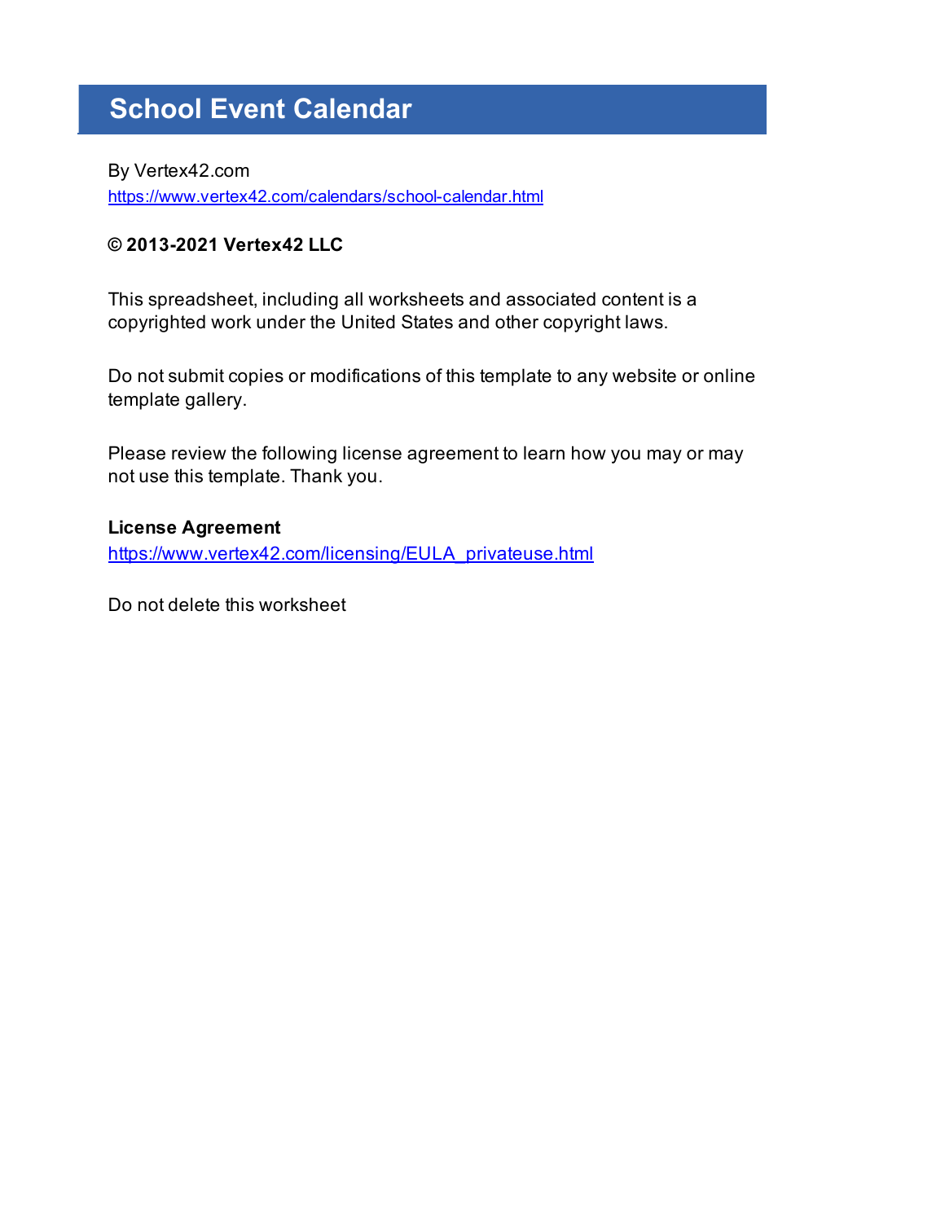# **School Event Calendar**

By Vertex42.com https://www.vertex42.com/calendars/school-calendar.html

# **© 2013-2021 Vertex42 LLC**

This spreadsheet, including all worksheets and associated content is a copyrighted work under the United States and other copyright laws.

Do not submit copies or modifications of this template to any website or online template gallery.

Please review the following license agreement to learn how you may or may not use this template. Thank you.

# **License Agreement**

https://www.vertex42.com/licensing/EULA\_privateuse.html

Do not delete this worksheet